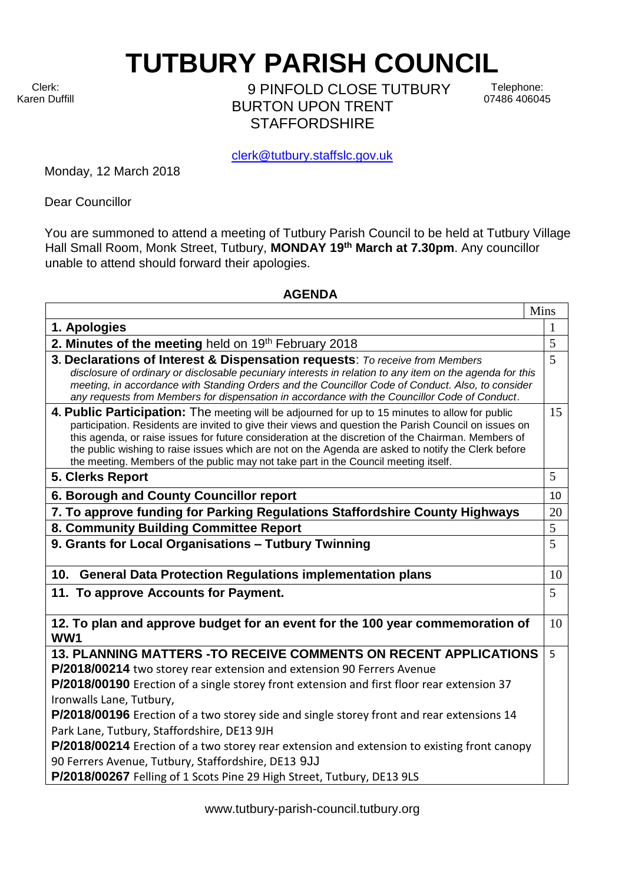Clerk: Karen Duffill

'n

9 PINFOLD CLOSE TUTBURY BURTON UPON TRENT **STAFFORDSHIRF** 

Telephone: 07486 406045

clerk@tutbury.staffslc.gov.uk

**TUTBURY PARISH COUNCIL** 

Monday, 12 March 2018

Dear Councillor

You are summoned to attend a meeting of Tutbury Parish Council to be held at Tutbury Village Hall Small Room, Monk Street, Tutbury, **MONDAY 19 th March at 7.30pm**. Any councillor unable to attend should forward their apologies.

## **AGENDA**

| Mins                                                                                                                                                                                                                                                                                                                                                                                                                                                                                                          |    |
|---------------------------------------------------------------------------------------------------------------------------------------------------------------------------------------------------------------------------------------------------------------------------------------------------------------------------------------------------------------------------------------------------------------------------------------------------------------------------------------------------------------|----|
| 1. Apologies                                                                                                                                                                                                                                                                                                                                                                                                                                                                                                  | 1  |
| 2. Minutes of the meeting held on 19th February 2018                                                                                                                                                                                                                                                                                                                                                                                                                                                          | 5  |
| 3. Declarations of Interest & Dispensation requests: To receive from Members<br>disclosure of ordinary or disclosable pecuniary interests in relation to any item on the agenda for this<br>meeting, in accordance with Standing Orders and the Councillor Code of Conduct. Also, to consider<br>any requests from Members for dispensation in accordance with the Councillor Code of Conduct.                                                                                                                | 5  |
| 4. Public Participation: The meeting will be adjourned for up to 15 minutes to allow for public<br>participation. Residents are invited to give their views and question the Parish Council on issues on<br>this agenda, or raise issues for future consideration at the discretion of the Chairman. Members of<br>the public wishing to raise issues which are not on the Agenda are asked to notify the Clerk before<br>the meeting. Members of the public may not take part in the Council meeting itself. | 15 |
| 5. Clerks Report                                                                                                                                                                                                                                                                                                                                                                                                                                                                                              | 5  |
| 6. Borough and County Councillor report                                                                                                                                                                                                                                                                                                                                                                                                                                                                       | 10 |
| 7. To approve funding for Parking Regulations Staffordshire County Highways                                                                                                                                                                                                                                                                                                                                                                                                                                   | 20 |
| 8. Community Building Committee Report                                                                                                                                                                                                                                                                                                                                                                                                                                                                        | 5  |
| 9. Grants for Local Organisations - Tutbury Twinning                                                                                                                                                                                                                                                                                                                                                                                                                                                          | 5  |
| 10. General Data Protection Regulations implementation plans                                                                                                                                                                                                                                                                                                                                                                                                                                                  | 10 |
| 11. To approve Accounts for Payment.                                                                                                                                                                                                                                                                                                                                                                                                                                                                          | 5  |
| 12. To plan and approve budget for an event for the 100 year commemoration of<br>WW1                                                                                                                                                                                                                                                                                                                                                                                                                          | 10 |
| <b>13. PLANNING MATTERS -TO RECEIVE COMMENTS ON RECENT APPLICATIONS</b><br>P/2018/00214 two storey rear extension and extension 90 Ferrers Avenue<br>P/2018/00190 Erection of a single storey front extension and first floor rear extension 37                                                                                                                                                                                                                                                               | 5  |
| Ironwalls Lane, Tutbury,<br>P/2018/00196 Erection of a two storey side and single storey front and rear extensions 14<br>Park Lane, Tutbury, Staffordshire, DE13 9JH<br>P/2018/00214 Erection of a two storey rear extension and extension to existing front canopy<br>90 Ferrers Avenue, Tutbury, Staffordshire, DE13 9JJ                                                                                                                                                                                    |    |
| P/2018/00267 Felling of 1 Scots Pine 29 High Street, Tutbury, DE13 9LS                                                                                                                                                                                                                                                                                                                                                                                                                                        |    |